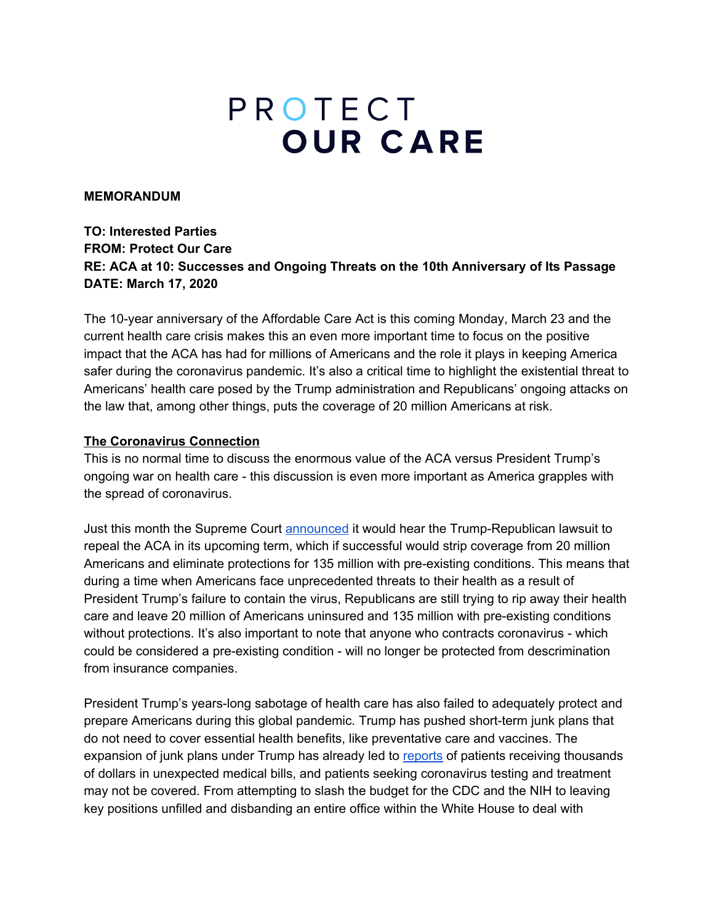# PROTECT **OUR CARE**

#### **MEMORANDUM**

## **TO: Interested Parties FROM: Protect Our Care RE: ACA at 10: Successes and Ongoing Threats on the 10th Anniversary of Its Passage DATE: March 17, 2020**

The 10-year anniversary of the Affordable Care Act is this coming Monday, March 23 and the current health care crisis makes this an even more important time to focus on the positive impact that the ACA has had for millions of Americans and the role it plays in keeping America safer during the coronavirus pandemic. It's also a critical time to highlight the existential threat to Americans' health care posed by the Trump administration and Republicans' ongoing attacks on the law that, among other things, puts the coverage of 20 million Americans at risk.

#### **The Coronavirus Connection**

This is no normal time to discuss the enormous value of the ACA versus President Trump's ongoing war on health care - this discussion is even more important as America grapples with the spread of coronavirus.

Just this month the Supreme Court [announced](https://finance.yahoo.com/news/supreme-court-obamacares-constitutionality-223148053.html) it would hear the Trump-Republican lawsuit to repeal the ACA in its upcoming term, which if successful would strip coverage from 20 million Americans and eliminate protections for 135 million with pre-existing conditions. This means that during a time when Americans face unprecedented threats to their health as a result of President Trump's failure to contain the virus, Republicans are still trying to rip away their health care and leave 20 million of Americans uninsured and 135 million with pre-existing conditions without protections. It's also important to note that anyone who contracts coronavirus - which could be considered a pre-existing condition - will no longer be protected from descrimination from insurance companies.

President Trump's years-long sabotage of health care has also failed to adequately protect and prepare Americans during this global pandemic. Trump has pushed short-term junk plans that do not need to cover essential health benefits, like preventative care and vaccines. The expansion of junk plans under Trump has already led to [reports](https://www.inquirer.com/health/consumer/pre-existing-conditions-aca-lawsuit-health-insurance-20191125.html) of patients receiving thousands of dollars in unexpected medical bills, and patients seeking coronavirus testing and treatment may not be covered. From attempting to slash the budget for the CDC and the NIH to leaving key positions unfilled and disbanding an entire office within the White House to deal with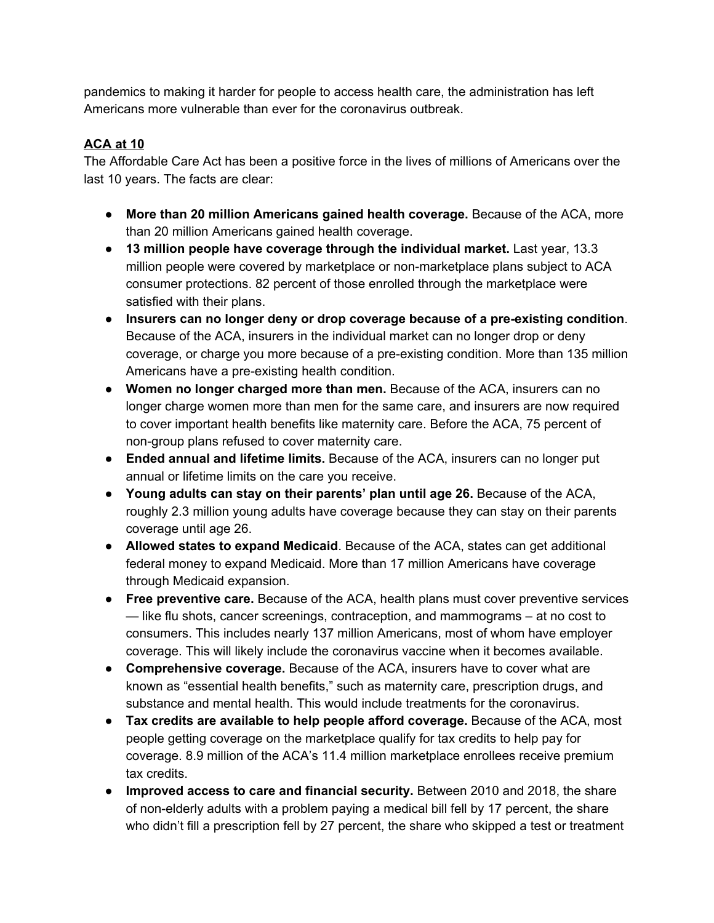pandemics to making it harder for people to access health care, the administration has left Americans more vulnerable than ever for the coronavirus outbreak.

# **ACA at 10**

The Affordable Care Act has been a positive force in the lives of millions of Americans over the last 10 years. The facts are clear:

- **More than 20 million Americans gained health coverage.** Because of the ACA, more than 20 million Americans gained health coverage.
- **13 million people have coverage through the individual market.** Last year, 13.3 million people were covered by marketplace or non-marketplace plans subject to ACA consumer protections. 82 percent of those enrolled through the marketplace were satisfied with their plans.
- **Insurers can no longer deny or drop coverage because of a pre-existing condition**. Because of the ACA, insurers in the individual market can no longer drop or deny coverage, or charge you more because of a pre-existing condition. More than 135 million Americans have a pre-existing health condition.
- **Women no longer charged more than men.** Because of the ACA, insurers can no longer charge women more than men for the same care, and insurers are now required to cover important health benefits like maternity care. Before the ACA, 75 percent of non-group plans refused to cover maternity care.
- **Ended annual and lifetime limits.** Because of the ACA, insurers can no longer put annual or lifetime limits on the care you receive.
- **Young adults can stay on their parents' plan until age 26.** Because of the ACA, roughly 2.3 million young adults have coverage because they can stay on their parents coverage until age 26.
- **Allowed states to expand Medicaid**. Because of the ACA, states can get additional federal money to expand Medicaid. More than 17 million Americans have coverage through Medicaid expansion.
- **Free preventive care.** Because of the ACA, health plans must cover preventive services — like flu shots, cancer screenings, contraception, and mammograms – at no cost to consumers. This includes nearly 137 million Americans, most of whom have employer coverage. This will likely include the coronavirus vaccine when it becomes available.
- **Comprehensive coverage.** Because of the ACA, insurers have to cover what are known as "essential health benefits," such as maternity care, prescription drugs, and substance and mental health. This would include treatments for the coronavirus.
- **Tax credits are available to help people afford coverage.** Because of the ACA, most people getting coverage on the marketplace qualify for tax credits to help pay for coverage. 8.9 million of the ACA's 11.4 million marketplace enrollees receive premium tax credits.
- **Improved access to care and financial security.** Between 2010 and 2018, the share of non-elderly adults with a problem paying a medical bill fell by 17 percent, the share who didn't fill a prescription fell by 27 percent, the share who skipped a test or treatment